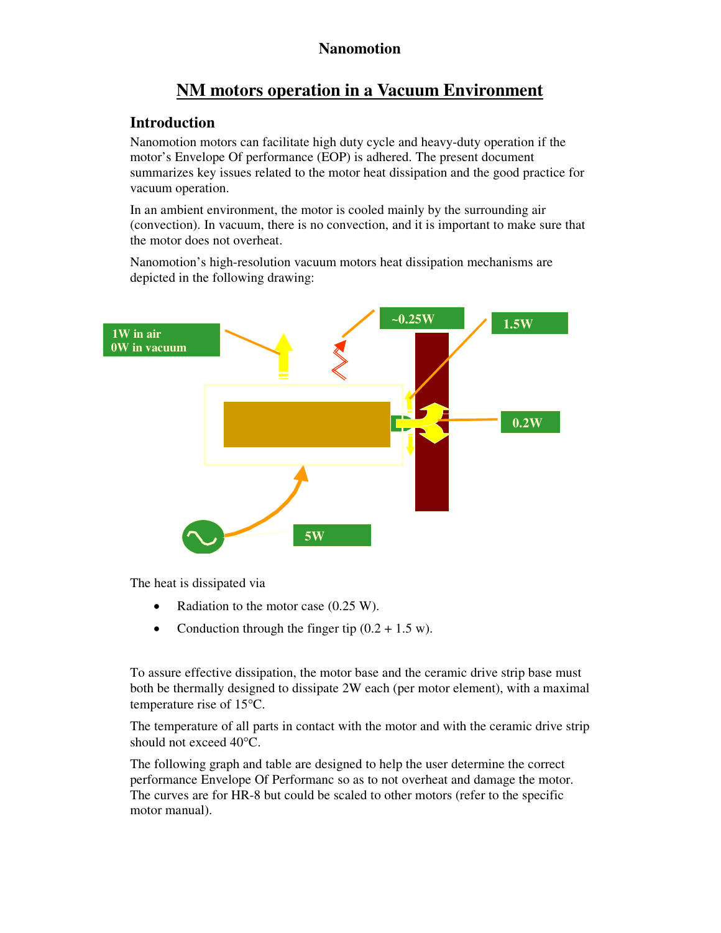# **NM motors operation in a Vacuum Environment**

# **Introduction**

Nanomotion motors can facilitate high duty cycle and heavy-duty operation if the motor's Envelope Of performance (EOP) is adhered. The present document summarizes key issues related to the motor heat dissipation and the good practice for vacuum operation.

In an ambient environment, the motor is cooled mainly by the surrounding air (convection). In vacuum, there is no convection, and it is important to make sure that the motor does not overheat.

Nanomotion's high-resolution vacuum motors heat dissipation mechanisms are depicted in the following drawing:



The heat is dissipated via

- Radiation to the motor case (0.25 W).
- Conduction through the finger tip  $(0.2 + 1.5 \text{ w})$ .

To assure effective dissipation, the motor base and the ceramic drive strip base must both be thermally designed to dissipate 2W each (per motor element), with a maximal temperature rise of  $15^{\circ}$ C.

The temperature of all parts in contact with the motor and with the ceramic drive strip should not exceed 40°C.

The following graph and table are designed to help the user determine the correct performance Envelope Of Performanc so as to not overheat and damage the motor. The curves are for HR-8 but could be scaled to other motors (refer to the specific motor manual).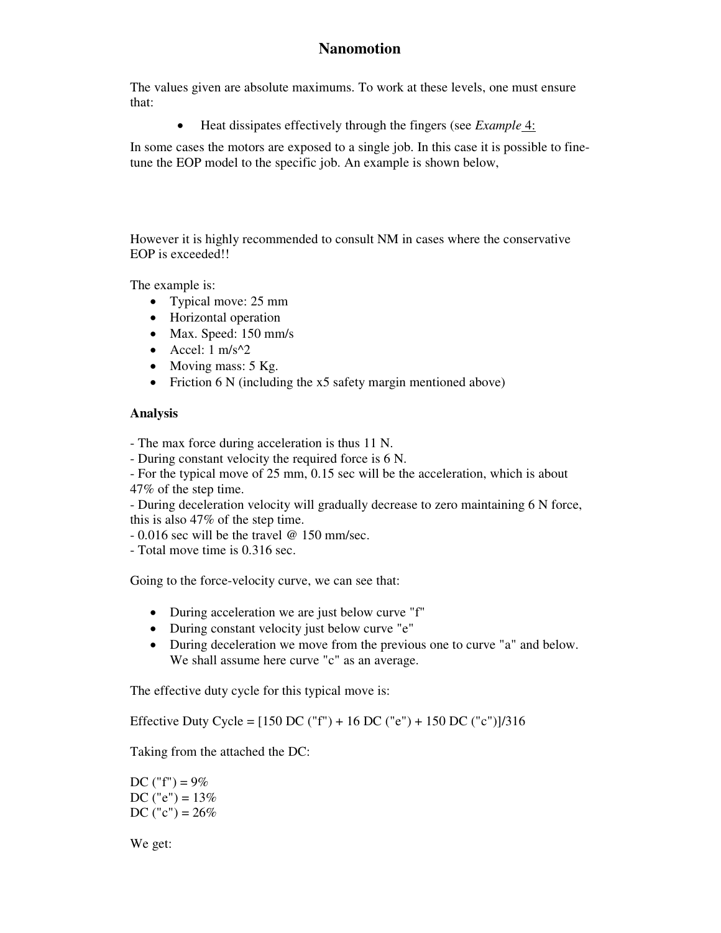The values given are absolute maximums. To work at these levels, one must ensure that:

Heat dissipates effectively through the fingers (see *Example* 4:

In some cases the motors are exposed to a single job. In this case it is possible to finetune the EOP model to the specific job. An example is shown below,

However it is highly recommended to consult NM in cases where the conservative EOP is exceeded!!

The example is:

- Typical move: 25 mm
- Horizontal operation
- Max. Speed: 150 mm/s
- $\bullet$  Accel: 1 m/s^2
- $\bullet$  Moving mass: 5 Kg.
- Friction 6 N (including the x5 safety margin mentioned above)

#### **Analysis**

- The max force during acceleration is thus 11 N.

- During constant velocity the required force is 6 N.

- For the typical move of 25 mm, 0.15 sec will be the acceleration, which is about 47% of the step time.

- During deceleration velocity will gradually decrease to zero maintaining 6 N force, this is also 47% of the step time.

- 0.016 sec will be the travel @ 150 mm/sec.

- Total move time is 0.316 sec.

Going to the force-velocity curve, we can see that:

- During acceleration we are just below curve "f"
- During constant velocity just below curve "e"
- During deceleration we move from the previous one to curve "a" and below. We shall assume here curve "c" as an average.

The effective duty cycle for this typical move is:

Effective Duty Cycle = [150 DC ("f") + 16 DC ("e") + 150 DC ("c")]/316

Taking from the attached the DC:

DC ("f") =  $9\%$ DC ("e") =  $13%$ DC ("c") =  $26\%$ 

We get: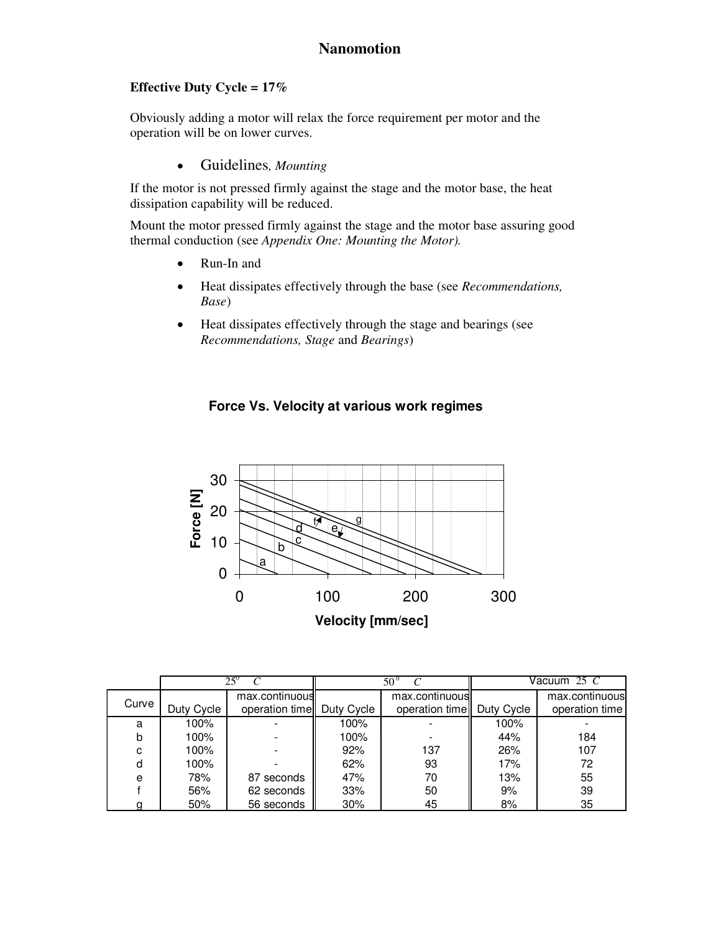## **Effective Duty Cycle = 17%**

Obviously adding a motor will relax the force requirement per motor and the operation will be on lower curves.

Guidelines*, Mounting*

If the motor is not pressed firmly against the stage and the motor base, the heat dissipation capability will be reduced.

Mount the motor pressed firmly against the stage and the motor base assuring good thermal conduction (see *Appendix One: Mounting the Motor).*

- Run-In and
- Heat dissipates effectively through the base (see *Recommendations, Base*)
- Heat dissipates effectively through the stage and bearings (see *Recommendations, Stage* and *Bearings*)

## **Force Vs. Velocity at various work regimes**



|       |            | $25^{\circ}$   |            | $50^{\circ}$                | Vacuum 25 C |                |
|-------|------------|----------------|------------|-----------------------------|-------------|----------------|
|       |            | max.continuous |            | max.continuous              |             | max.continuous |
| Curve | Duty Cycle | operation time | Duty Cycle | operation time   Duty Cycle |             | operation time |
| a     | 100%       |                | 100%       |                             | 100%        |                |
| b     | 100%       |                | 100%       |                             | 44%         | 184            |
| C     | 100%       |                | 92%        | 137                         | 26%         | 107            |
| d     | 100%       |                | 62%        | 93                          | 17%         | 72             |
| e     | 78%        | 87 seconds     | 47%        | 70                          | 13%         | 55             |
|       | 56%        | 62 seconds     | 33%        | 50                          | 9%          | 39             |
|       | 50%        | 56 seconds     | 30%        | 45                          | 8%          | 35             |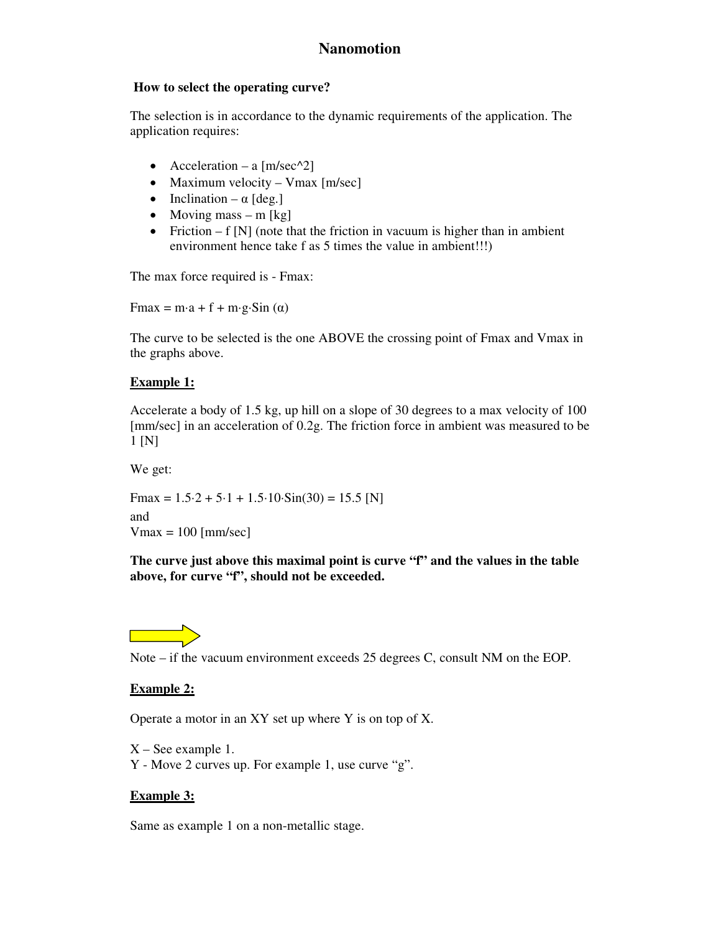## **How to select the operating curve?**

The selection is in accordance to the dynamic requirements of the application. The application requires:

- Acceleration a  $[m/sec^2]$
- Maximum velocity Vmax  $[m/sec]$
- Inclination  $\alpha$  [deg.]
- Moving mass m [kg]
- Friction  $f[N]$  (note that the friction in vacuum is higher than in ambient environment hence take f as 5 times the value in ambient!!!)

The max force required is - Fmax:

 $Fmax = m \cdot a + f + m \cdot g \cdot Sin(\alpha)$ 

The curve to be selected is the one ABOVE the crossing point of Fmax and Vmax in the graphs above.

## **Example 1:**

Accelerate a body of 1.5 kg, up hill on a slope of 30 degrees to a max velocity of 100 [mm/sec] in an acceleration of 0.2g. The friction force in ambient was measured to be 1 [N]

We get:

 $Fmax = 1.5.2 + 5.1 + 1.5.10 \cdot \text{Sin}(30) = 15.5$  [N] and  $V$ max = 100 [mm/sec]

**The curve just above this maximal point is curve "f" and the values in the table above, for curve "f", should not be exceeded.**



Note – if the vacuum environment exceeds 25 degrees C, consult NM on the EOP.

## **Example 2:**

Operate a motor in an XY set up where Y is on top of X.

X – See example 1. Y - Move 2 curves up. For example 1, use curve "g".

## **Example 3:**

Same as example 1 on a non-metallic stage.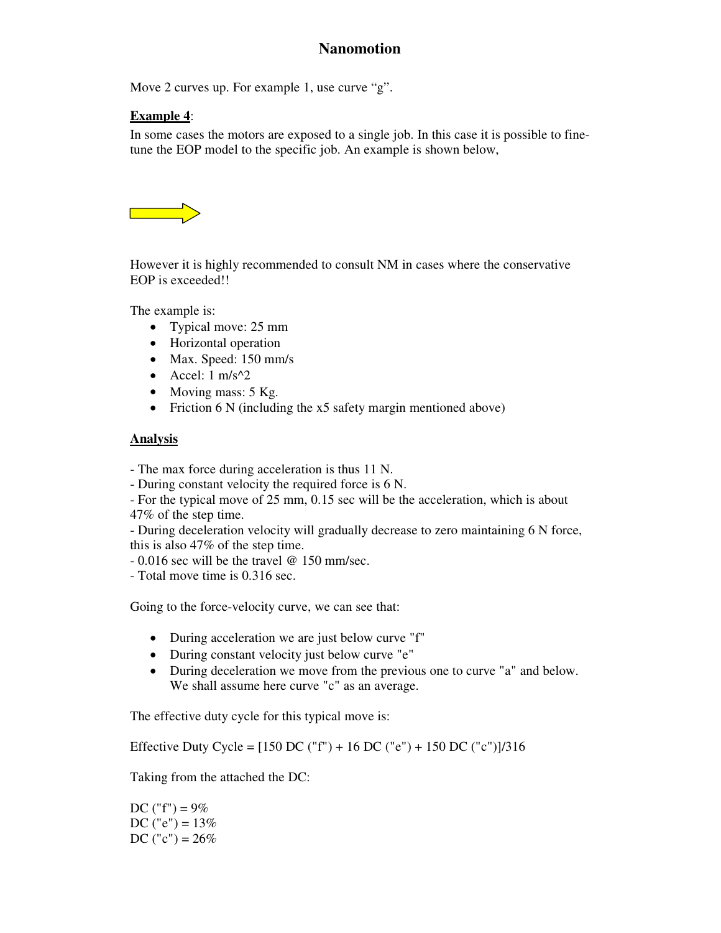Move 2 curves up. For example 1, use curve "g".

## **Example 4**:

In some cases the motors are exposed to a single job. In this case it is possible to finetune the EOP model to the specific job. An example is shown below,



However it is highly recommended to consult NM in cases where the conservative EOP is exceeded!!

The example is:

- Typical move: 25 mm
- Horizontal operation
- Max. Speed: 150 mm/s
- $\bullet$  Accel: 1 m/s^2
- Moving mass: 5 Kg.
- Friction 6 N (including the x5 safety margin mentioned above)

## **Analysis**

- The max force during acceleration is thus 11 N.

- During constant velocity the required force is 6 N.

- For the typical move of 25 mm, 0.15 sec will be the acceleration, which is about 47% of the step time.

- During deceleration velocity will gradually decrease to zero maintaining 6 N force, this is also 47% of the step time.

- 0.016 sec will be the travel @ 150 mm/sec.
- Total move time is 0.316 sec.

Going to the force-velocity curve, we can see that:

- During acceleration we are just below curve "f"
- During constant velocity just below curve "e"
- During deceleration we move from the previous one to curve "a" and below. We shall assume here curve "c" as an average.

The effective duty cycle for this typical move is:

Effective Duty Cycle =  $[150 \text{ DC}$  ("f") + 16 DC ("e") + 150 DC ("c")]/316

Taking from the attached the DC:

DC ("f") =  $9\%$ DC ("e") =  $13\%$ DC ("c") =  $26\%$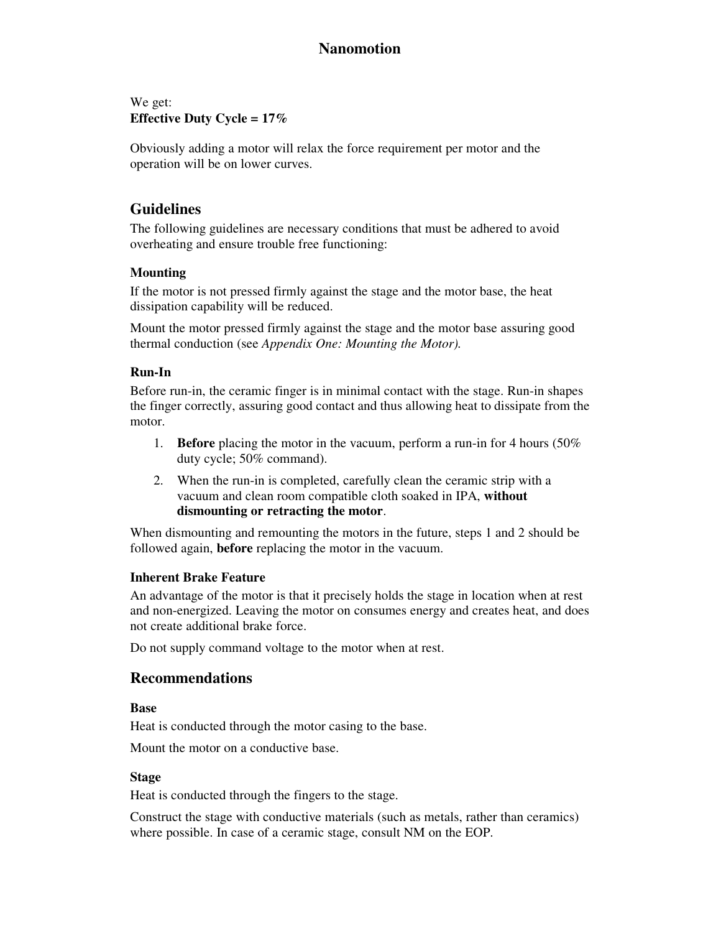We get: **Effective Duty Cycle = 17%**

Obviously adding a motor will relax the force requirement per motor and the operation will be on lower curves.

## **Guidelines**

The following guidelines are necessary conditions that must be adhered to avoid overheating and ensure trouble free functioning:

## **Mounting**

If the motor is not pressed firmly against the stage and the motor base, the heat dissipation capability will be reduced.

Mount the motor pressed firmly against the stage and the motor base assuring good thermal conduction (see *Appendix One: Mounting the Motor).*

#### **Run-In**

Before run-in, the ceramic finger is in minimal contact with the stage. Run-in shapes the finger correctly, assuring good contact and thus allowing heat to dissipate from the motor.

- 1. **Before** placing the motor in the vacuum, perform a run-in for 4 hours (50% duty cycle; 50% command).
- 2. When the run-in is completed, carefully clean the ceramic strip with a vacuum and clean room compatible cloth soaked in IPA, **without dismounting or retracting the motor**.

When dismounting and remounting the motors in the future, steps 1 and 2 should be followed again, **before** replacing the motor in the vacuum.

#### **Inherent Brake Feature**

An advantage of the motor is that it precisely holds the stage in location when at rest and non-energized. Leaving the motor on consumes energy and creates heat, and does not create additional brake force.

Do not supply command voltage to the motor when at rest.

## **Recommendations**

#### **Base**

Heat is conducted through the motor casing to the base.

Mount the motor on a conductive base.

#### **Stage**

Heat is conducted through the fingers to the stage.

Construct the stage with conductive materials (such as metals, rather than ceramics) where possible. In case of a ceramic stage, consult NM on the EOP.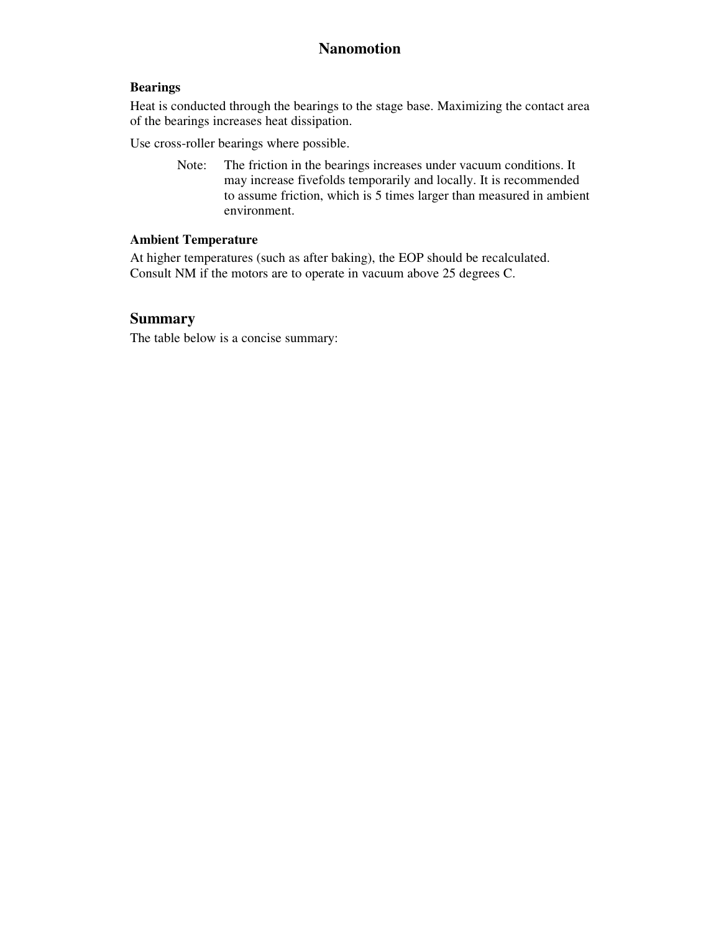#### **Bearings**

Heat is conducted through the bearings to the stage base. Maximizing the contact area of the bearings increases heat dissipation.

Use cross-roller bearings where possible.

Note: The friction in the bearings increases under vacuum conditions. It may increase fivefolds temporarily and locally. It is recommended to assume friction, which is 5 times larger than measured in ambient environment.

## **Ambient Temperature**

At higher temperatures (such as after baking), the EOP should be recalculated. Consult NM if the motors are to operate in vacuum above 25 degrees C.

# **Summary**

The table below is a concise summary: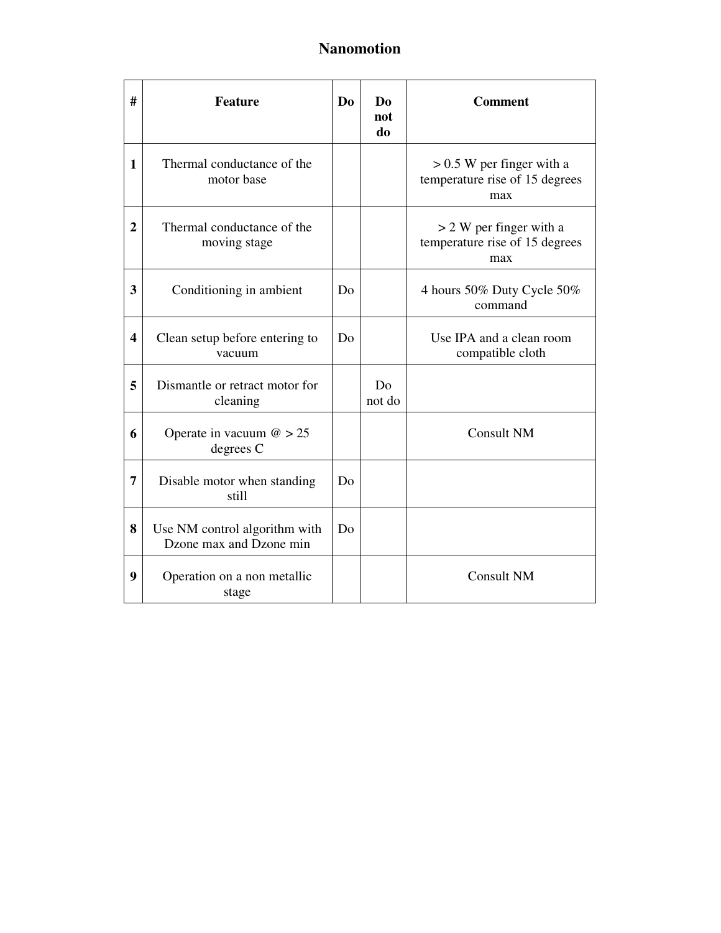| #                       | <b>Feature</b>                                           | D <sub>0</sub> | Do<br>not<br>do | <b>Comment</b>                                                       |
|-------------------------|----------------------------------------------------------|----------------|-----------------|----------------------------------------------------------------------|
| 1                       | Thermal conductance of the<br>motor base                 |                |                 | $> 0.5$ W per finger with a<br>temperature rise of 15 degrees<br>max |
| $\overline{2}$          | Thermal conductance of the<br>moving stage               |                |                 | > 2 W per finger with a<br>temperature rise of 15 degrees<br>max     |
| 3                       | Conditioning in ambient                                  | Do             |                 | 4 hours 50% Duty Cycle 50%<br>command                                |
| $\overline{\mathbf{4}}$ | Clean setup before entering to<br>vacuum                 | Do             |                 | Use IPA and a clean room<br>compatible cloth                         |
| 5                       | Dismantle or retract motor for<br>cleaning               |                | Do<br>not do    |                                                                      |
| 6                       | Operate in vacuum $\omega > 25$<br>degrees C             |                |                 | <b>Consult NM</b>                                                    |
| 7                       | Disable motor when standing<br>still                     | Do             |                 |                                                                      |
| 8                       | Use NM control algorithm with<br>Dzone max and Dzone min | Do             |                 |                                                                      |
| 9                       | Operation on a non metallic<br>stage                     |                |                 | <b>Consult NM</b>                                                    |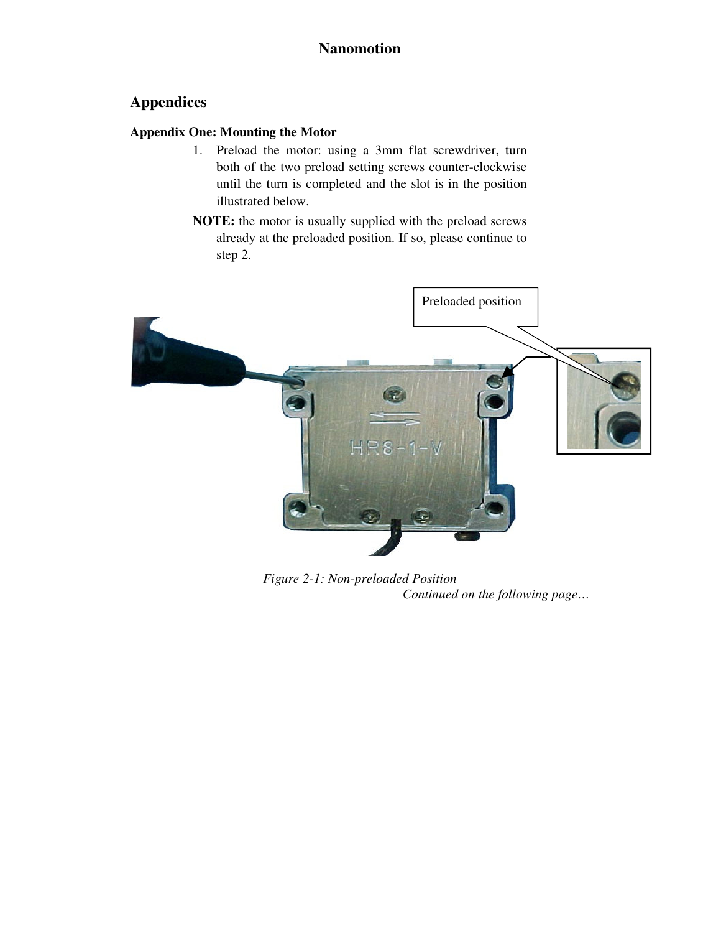# **Appendices**

## **Appendix One: Mounting the Motor**

- 1. Preload the motor: using a 3mm flat screwdriver, turn both of the two preload setting screws counter-clockwise until the turn is completed and the slot is in the position illustrated below.
- **NOTE:** the motor is usually supplied with the preload screws already at the preloaded position. If so, please continue to step 2.



*Figure 2-1: Non-preloaded Position Continued on the following page…*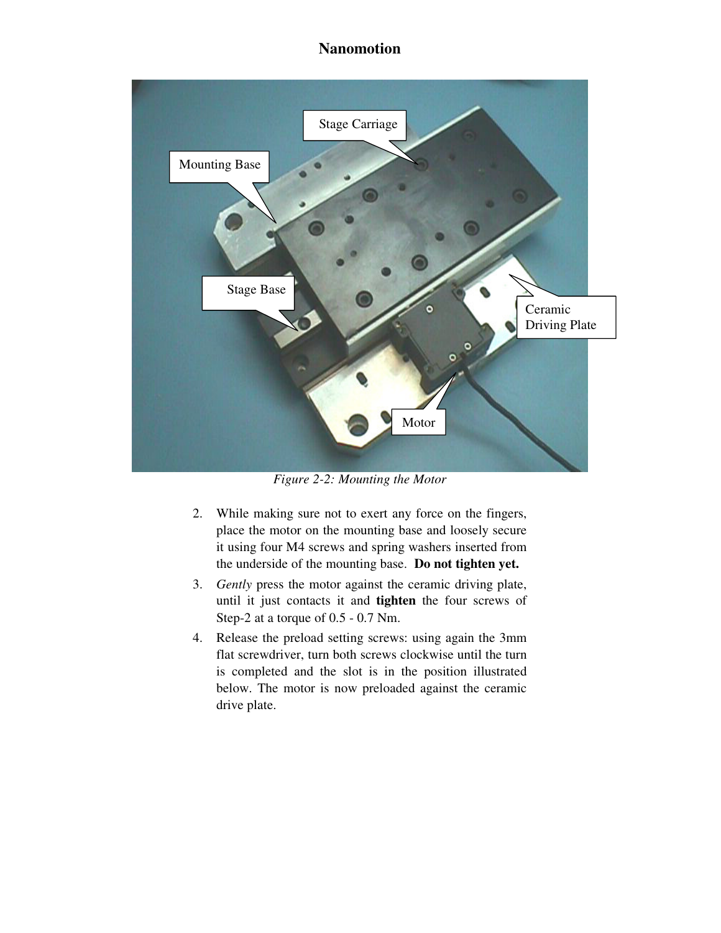

*Figure 2-2: Mounting the Motor*

- 2. While making sure not to exert any force on the fingers, place the motor on the mounting base and loosely secure it using four M4 screws and spring washers inserted from the underside of the mounting base. **Do not tighten yet.**
- 3. *Gently* press the motor against the ceramic driving plate, until it just contacts it and **tighten** the four screws of Step-2 at a torque of 0.5 - 0.7 Nm.
- 4. Release the preload setting screws: using again the 3mm flat screwdriver, turn both screws clockwise until the turn is completed and the slot is in the position illustrated below. The motor is now preloaded against the ceramic drive plate.